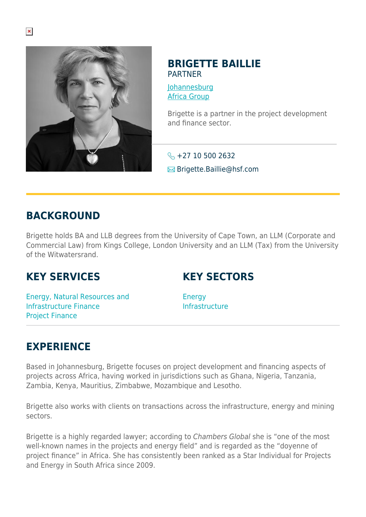

#### **BRIGETTE BAILLIE** PARTNER

[Johannesburg](https://www.herbertsmithfreehills.com/lang-es/where-we-work/johannesburg) [Africa Group](https://www.herbertsmithfreehills.com/lang-es/where-we-work/africa-group)

Brigette is a partner in the project development and finance sector.

 $\leftarrow$  +27 10 500 2632 **E**Brigette.Baillie@hsf.com

#### **BACKGROUND**

Brigette holds BA and LLB degrees from the University of Cape Town, an LLM (Corporate and Commercial Law) from Kings College, London University and an LLM (Tax) from the University of the Witwatersrand.

## **KEY SERVICES**

## **KEY SECTORS**

Energy, Natural Resources and Infrastructure Finance Project Finance

**Energy** Infrastructure

# **EXPERIENCE**

Based in Johannesburg, Brigette focuses on project development and financing aspects of projects across Africa, having worked in jurisdictions such as Ghana, Nigeria, Tanzania, Zambia, Kenya, Mauritius, Zimbabwe, Mozambique and Lesotho.

Brigette also works with clients on transactions across the infrastructure, energy and mining sectors.

Brigette is a highly regarded lawyer; according to Chambers Global she is "one of the most well-known names in the projects and energy field" and is regarded as the "doyenne of project finance" in Africa. She has consistently been ranked as a Star Individual for Projects and Energy in South Africa since 2009.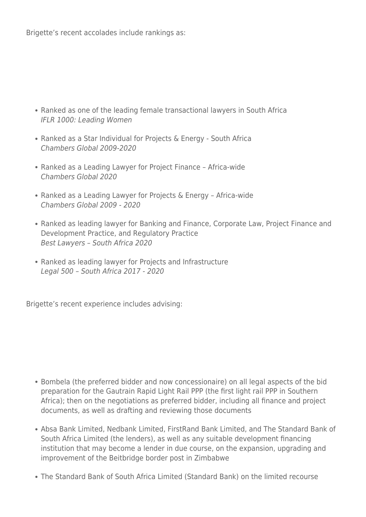Brigette's recent accolades include rankings as:

- Ranked as one of the leading female transactional lawyers in South Africa IFLR 1000: Leading Women
- Ranked as a Star Individual for Projects & Energy South Africa Chambers Global 2009-2020
- Ranked as a Leading Lawyer for Project Finance Africa-wide Chambers Global 2020
- Ranked as a Leading Lawyer for Projects & Energy Africa-wide Chambers Global 2009 - 2020
- Ranked as leading lawyer for Banking and Finance, Corporate Law, Project Finance and Development Practice, and Regulatory Practice Best Lawyers – South Africa 2020
- Ranked as leading lawyer for Projects and Infrastructure Legal 500 – South Africa 2017 - 2020

Brigette's recent experience includes advising:

- Bombela (the preferred bidder and now concessionaire) on all legal aspects of the bid preparation for the Gautrain Rapid Light Rail PPP (the first light rail PPP in Southern Africa); then on the negotiations as preferred bidder, including all finance and project documents, as well as drafting and reviewing those documents
- Absa Bank Limited, Nedbank Limited, FirstRand Bank Limited, and The Standard Bank of South Africa Limited (the lenders), as well as any suitable development financing institution that may become a lender in due course, on the expansion, upgrading and improvement of the Beitbridge border post in Zimbabwe
- The Standard Bank of South Africa Limited (Standard Bank) on the limited recourse